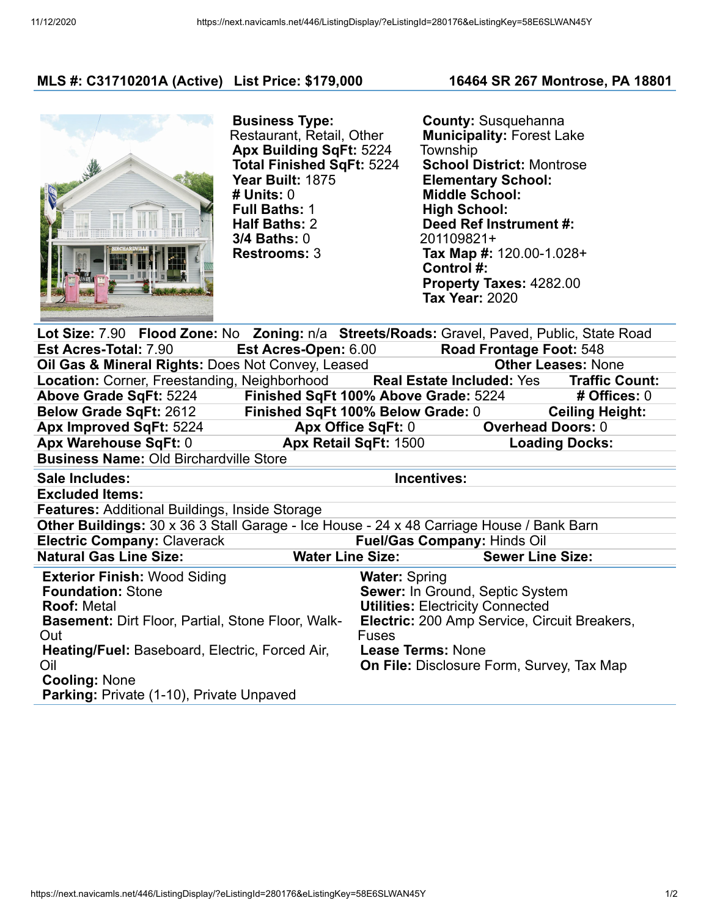## **MLS #: C31710201A (Active) List Price: \$179,000 16464 SR 267 Montrose, PA 18801**



**Business Type:** Restaurant, Retail, Other **Apx Building SqFt:** 5224 **Total Finished SqFt:** 5224 **Year Built:** 1875 **# Units:** 0 **Full Baths:** 1 **Half Baths:** 2 **3/4 Baths:** 0 **Restrooms:** 3

**County:** Susquehanna **Municipality:** Forest Lake Township **School District:** Montrose **Elementary School: Middle School: High School: Deed Ref Instrument #:** 201109821+ **Tax Map #:** 120.00-1.028+ **Control #: Property Taxes:** 4282.00 **Tax Year:** 2020

| Lot Size: 7.90 Flood Zone: No Zoning: n/a Streets/Roads: Gravel, Paved, Public, State Road                                                                                                                            |                                                                                                                                                                                  |  |  |  |
|-----------------------------------------------------------------------------------------------------------------------------------------------------------------------------------------------------------------------|----------------------------------------------------------------------------------------------------------------------------------------------------------------------------------|--|--|--|
| Est Acres-Open: 6.00 Road Frontage Foot: 548                                                                                                                                                                          |                                                                                                                                                                                  |  |  |  |
|                                                                                                                                                                                                                       | <b>Other Leases: None</b>                                                                                                                                                        |  |  |  |
|                                                                                                                                                                                                                       |                                                                                                                                                                                  |  |  |  |
| Above Grade SqFt: 5224 Finished SqFt 100% Above Grade: 5224 # Offices: 0                                                                                                                                              |                                                                                                                                                                                  |  |  |  |
| Finished SqFt 100% Below Grade: 0                                                                                                                                                                                     | <b>Ceiling Height:</b>                                                                                                                                                           |  |  |  |
|                                                                                                                                                                                                                       | <b>Overhead Doors: 0</b>                                                                                                                                                         |  |  |  |
| Apx Warehouse SqFt: 0 Apx Retail SqFt: 1500                                                                                                                                                                           | <b>Loading Docks:</b>                                                                                                                                                            |  |  |  |
|                                                                                                                                                                                                                       |                                                                                                                                                                                  |  |  |  |
| Incentives:                                                                                                                                                                                                           |                                                                                                                                                                                  |  |  |  |
|                                                                                                                                                                                                                       |                                                                                                                                                                                  |  |  |  |
| <b>Features: Additional Buildings, Inside Storage</b>                                                                                                                                                                 |                                                                                                                                                                                  |  |  |  |
| <b>Other Buildings:</b> 30 x 36 3 Stall Garage - Ice House - 24 x 48 Carriage House / Bank Barn                                                                                                                       |                                                                                                                                                                                  |  |  |  |
| <b>Electric Company: Claverack</b><br><b>Fuel/Gas Company: Hinds Oil</b>                                                                                                                                              |                                                                                                                                                                                  |  |  |  |
| Water Line Size: Sewer Line Size:                                                                                                                                                                                     |                                                                                                                                                                                  |  |  |  |
| <b>Water: Spring</b><br>Sewer: In Ground, Septic System<br><b>Utilities: Electricity Connected</b><br><b>Electric:</b> 200 Amp Service, Circuit Breakers,<br><b>Basement: Dirt Floor, Partial, Stone Floor, Walk-</b> |                                                                                                                                                                                  |  |  |  |
|                                                                                                                                                                                                                       | Oil Gas & Mineral Rights: Does Not Convey, Leased<br>Location: Corner, Freestanding, Neighborhood Real Estate Included: Yes Traffic Count:<br>Apx Office SqFt: 0<br><b>Fuses</b> |  |  |  |

**Parking:** Private (1-10), Private Unpaved